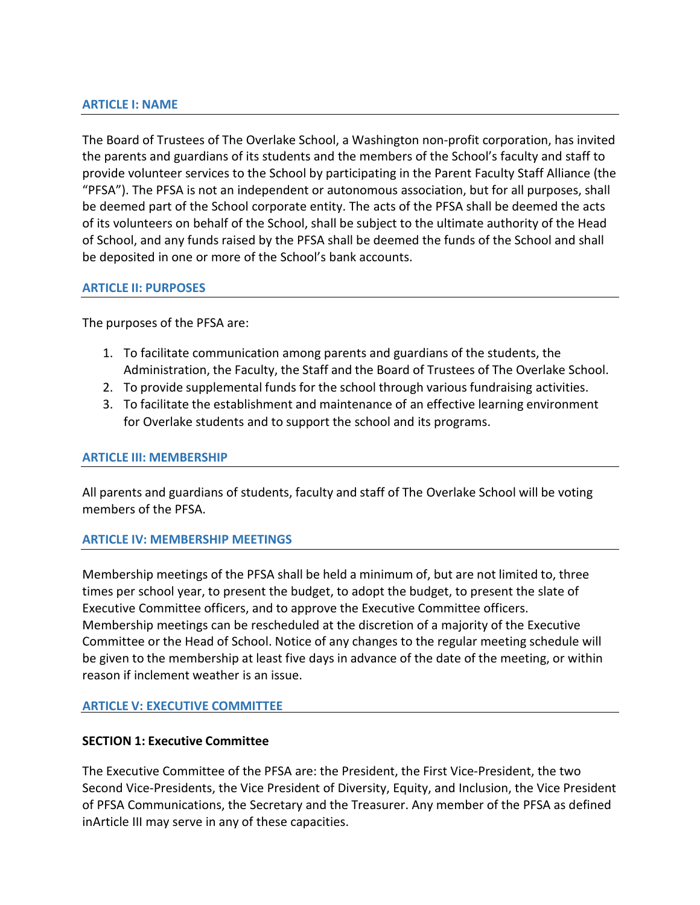## **ARTICLE I: NAME**

The Board of Trustees of The Overlake School, a Washington non-profit corporation, has invited the parents and guardians of its students and the members of the School's faculty and staff to provide volunteer services to the School by participating in the Parent Faculty Staff Alliance (the "PFSA"). The PFSA is not an independent or autonomous association, but for all purposes, shall be deemed part of the School corporate entity. The acts of the PFSA shall be deemed the acts of its volunteers on behalf of the School, shall be subject to the ultimate authority of the Head of School, and any funds raised by the PFSA shall be deemed the funds of the School and shall be deposited in one or more of the School's bank accounts.

#### **ARTICLE II: PURPOSES**

The purposes of the PFSA are:

- 1. To facilitate communication among parents and guardians of the students, the Administration, the Faculty, the Staff and the Board of Trustees of The Overlake School.
- 2. To provide supplemental funds for the school through various fundraising activities.
- 3. To facilitate the establishment and maintenance of an effective learning environment for Overlake students and to support the school and its programs.

#### **ARTICLE III: MEMBERSHIP**

All parents and guardians of students, faculty and staff of The Overlake School will be voting members of the PFSA.

## **ARTICLE IV: MEMBERSHIP MEETINGS**

Membership meetings of the PFSA shall be held a minimum of, but are not limited to, three times per school year, to present the budget, to adopt the budget, to present the slate of Executive Committee officers, and to approve the Executive Committee officers. Membership meetings can be rescheduled at the discretion of a majority of the Executive Committee or the Head of School. Notice of any changes to the regular meeting schedule will be given to the membership at least five days in advance of the date of the meeting, or within reason if inclement weather is an issue.

## **ARTICLE V: EXECUTIVE COMMITTEE**

## **SECTION 1: Executive Committee**

The Executive Committee of the PFSA are: the President, the First Vice-President, the two Second Vice-Presidents, the Vice President of Diversity, Equity, and Inclusion, the Vice President of PFSA Communications, the Secretary and the Treasurer. Any member of the PFSA as defined inArticle III may serve in any of these capacities.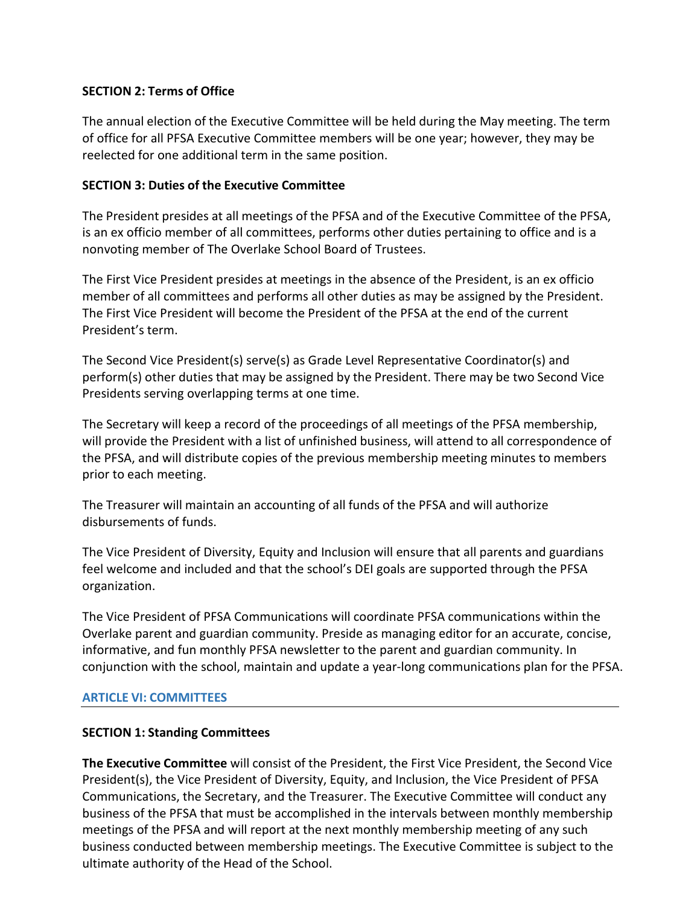# **SECTION 2: Terms of Office**

The annual election of the Executive Committee will be held during the May meeting. The term of office for all PFSA Executive Committee members will be one year; however, they may be reelected for one additional term in the same position.

# **SECTION 3: Duties of the Executive Committee**

The President presides at all meetings of the PFSA and of the Executive Committee of the PFSA, is an ex officio member of all committees, performs other duties pertaining to office and is a nonvoting member of The Overlake School Board of Trustees.

The First Vice President presides at meetings in the absence of the President, is an ex officio member of all committees and performs all other duties as may be assigned by the President. The First Vice President will become the President of the PFSA at the end of the current President's term.

The Second Vice President(s) serve(s) as Grade Level Representative Coordinator(s) and perform(s) other duties that may be assigned by the President. There may be two Second Vice Presidents serving overlapping terms at one time.

The Secretary will keep a record of the proceedings of all meetings of the PFSA membership, will provide the President with a list of unfinished business, will attend to all correspondence of the PFSA, and will distribute copies of the previous membership meeting minutes to members prior to each meeting.

The Treasurer will maintain an accounting of all funds of the PFSA and will authorize disbursements of funds.

The Vice President of Diversity, Equity and Inclusion will ensure that all parents and guardians feel welcome and included and that the school's DEI goals are supported through the PFSA organization.

The Vice President of PFSA Communications will coordinate PFSA communications within the Overlake parent and guardian community. Preside as managing editor for an accurate, concise, informative, and fun monthly PFSA newsletter to the parent and guardian community. In conjunction with the school, maintain and update a year-long communications plan for the PFSA.

## **ARTICLE VI: COMMITTEES**

## **SECTION 1: Standing Committees**

**The Executive Committee** will consist of the President, the First Vice President, the Second Vice President(s), the Vice President of Diversity, Equity, and Inclusion, the Vice President of PFSA Communications, the Secretary, and the Treasurer. The Executive Committee will conduct any business of the PFSA that must be accomplished in the intervals between monthly membership meetings of the PFSA and will report at the next monthly membership meeting of any such business conducted between membership meetings. The Executive Committee is subject to the ultimate authority of the Head of the School.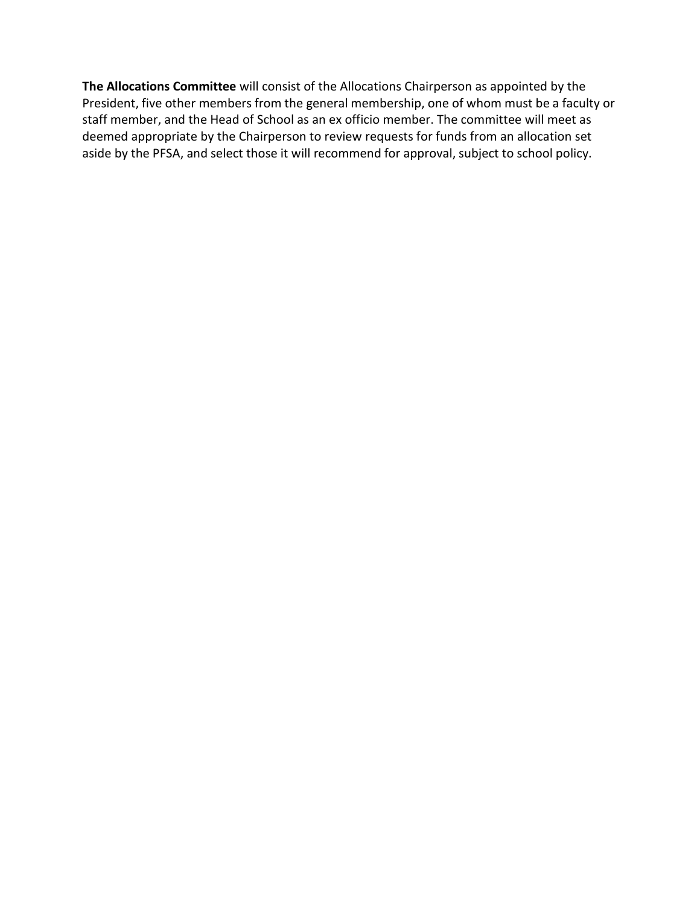**The Allocations Committee** will consist of the Allocations Chairperson as appointed by the President, five other members from the general membership, one of whom must be a faculty or staff member, and the Head of School as an ex officio member. The committee will meet as deemed appropriate by the Chairperson to review requests for funds from an allocation set aside by the PFSA, and select those it will recommend for approval, subject to school policy.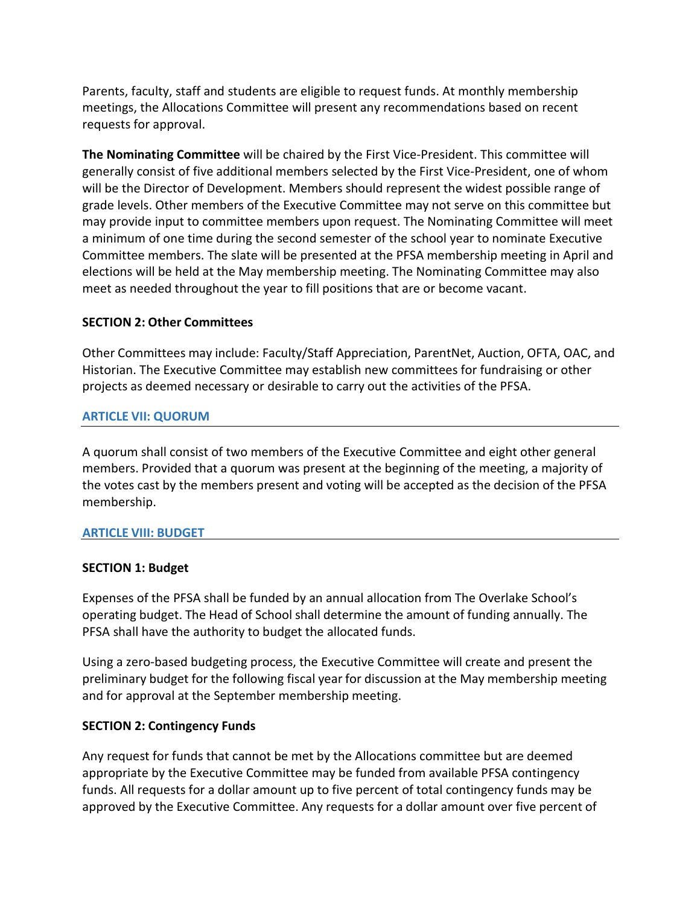Parents, faculty, staff and students are eligible to request funds. At monthly membership meetings, the Allocations Committee will present any recommendations based on recent requests for approval.

**The Nominating Committee** will be chaired by the First Vice-President. This committee will generally consist of five additional members selected by the First Vice-President, one of whom will be the Director of Development. Members should represent the widest possible range of grade levels. Other members of the Executive Committee may not serve on this committee but may provide input to committee members upon request. The Nominating Committee will meet a minimum of one time during the second semester of the school year to nominate Executive Committee members. The slate will be presented at the PFSA membership meeting in April and elections will be held at the May membership meeting. The Nominating Committee may also meet as needed throughout the year to fill positions that are or become vacant.

## **SECTION 2: Other Committees**

Other Committees may include: Faculty/Staff Appreciation, ParentNet, Auction, OFTA, OAC, and Historian. The Executive Committee may establish new committees for fundraising or other projects as deemed necessary or desirable to carry out the activities of the PFSA.

#### **ARTICLE VII: QUORUM**

A quorum shall consist of two members of the Executive Committee and eight other general members. Provided that a quorum was present at the beginning of the meeting, a majority of the votes cast by the members present and voting will be accepted as the decision of the PFSA membership.

#### **ARTICLE VIII: BUDGET**

## **SECTION 1: Budget**

Expenses of the PFSA shall be funded by an annual allocation from The Overlake School's operating budget. The Head of School shall determine the amount of funding annually. The PFSA shall have the authority to budget the allocated funds.

Using a zero-based budgeting process, the Executive Committee will create and present the preliminary budget for the following fiscal year for discussion at the May membership meeting and for approval at the September membership meeting.

#### **SECTION 2: Contingency Funds**

Any request for funds that cannot be met by the Allocations committee but are deemed appropriate by the Executive Committee may be funded from available PFSA contingency funds. All requests for a dollar amount up to five percent of total contingency funds may be approved by the Executive Committee. Any requests for a dollar amount over five percent of